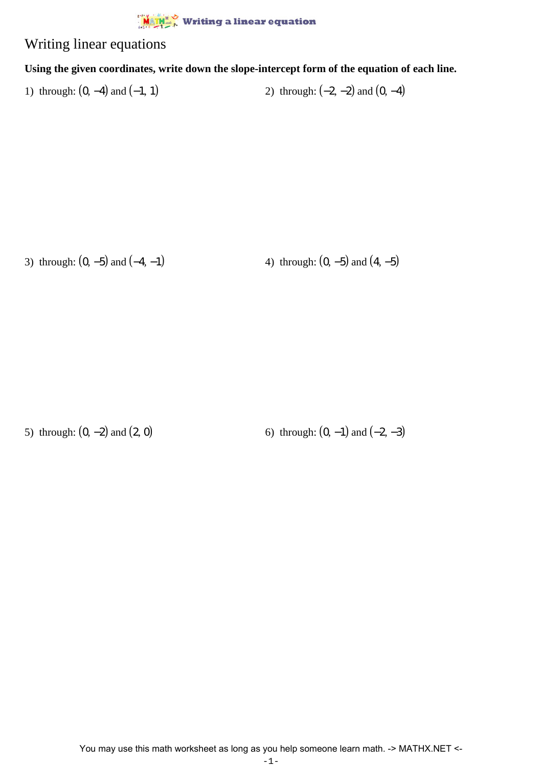

## Writing linear equations

## **Using the given coordinates, write down the slope-intercept form of the equation of each line.**

1) through:  $(0, -4)$  and  $(-1, 1)$  2) through:  $(-2, -2)$  and  $(0, -4)$ 

3) through:  $(0, -5)$  and  $(-4, -1)$  4) through:  $(0, -5)$  and  $(4, -5)$ 

5) through:  $(0, -2)$  and  $(2, 0)$  6) through:  $(0, -1)$  and  $(-2, -3)$ 

You may use this math worksheet as long as you help someone learn math. -> MATHX.NET <-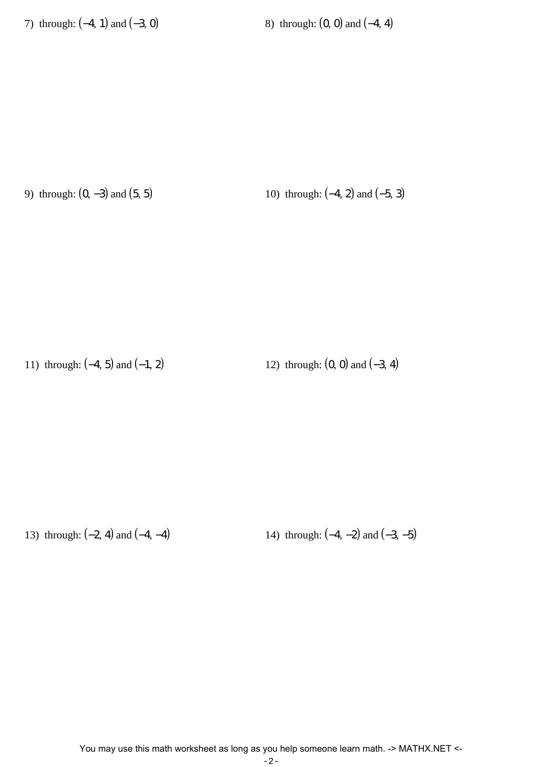9) through:  $(0, -3)$  and  $(5, 5)$  10) through:  $(-4, 2)$  and  $(-5, 3)$ 

11) through:  $(-4, 5)$  and  $(-1, 2)$  12) through:  $(0, 0)$  and  $(-3, 4)$ 

13) through:  $(-2, 4)$  and  $(-4, -4)$  14) through:  $(-4, -2)$  and  $(-3, -5)$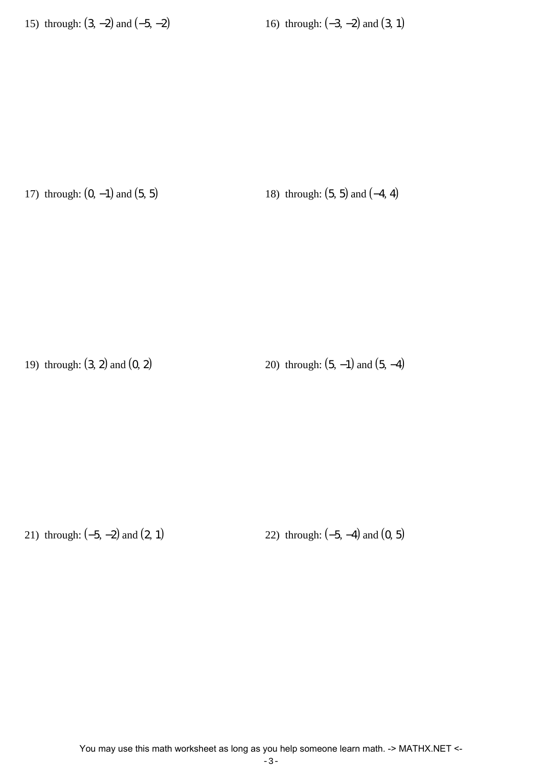17) through:  $(0, -1)$  and  $(5, 5)$  18) through:  $(5, 5)$  and  $(-4, 4)$ 

19) through:  $(3, 2)$  and  $(0, 2)$  20) through:  $(5, -1)$  and  $(5, -4)$ 

21) through: (-5, -2) and (2, 1) 22) through: (-5, -4) and (0, 5)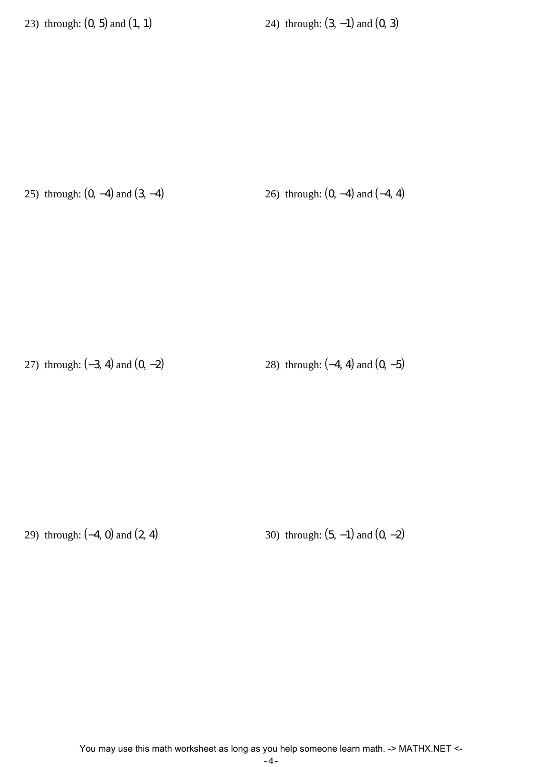23) through:  $(0, 5)$  and  $(1, 1)$  24) through:  $(3, -1)$  and  $(0, 3)$ 

25) through:  $(0, -4)$  and  $(3, -4)$  26) through:  $(0, -4)$  and  $(-4, 4)$ 

27) through: (−3, 4) and (0, −2) 28) through: (−4, 4) and (0, −5)

29) through:  $(-4, 0)$  and  $(2, 4)$  30) through:  $(5, -1)$  and  $(0, -2)$